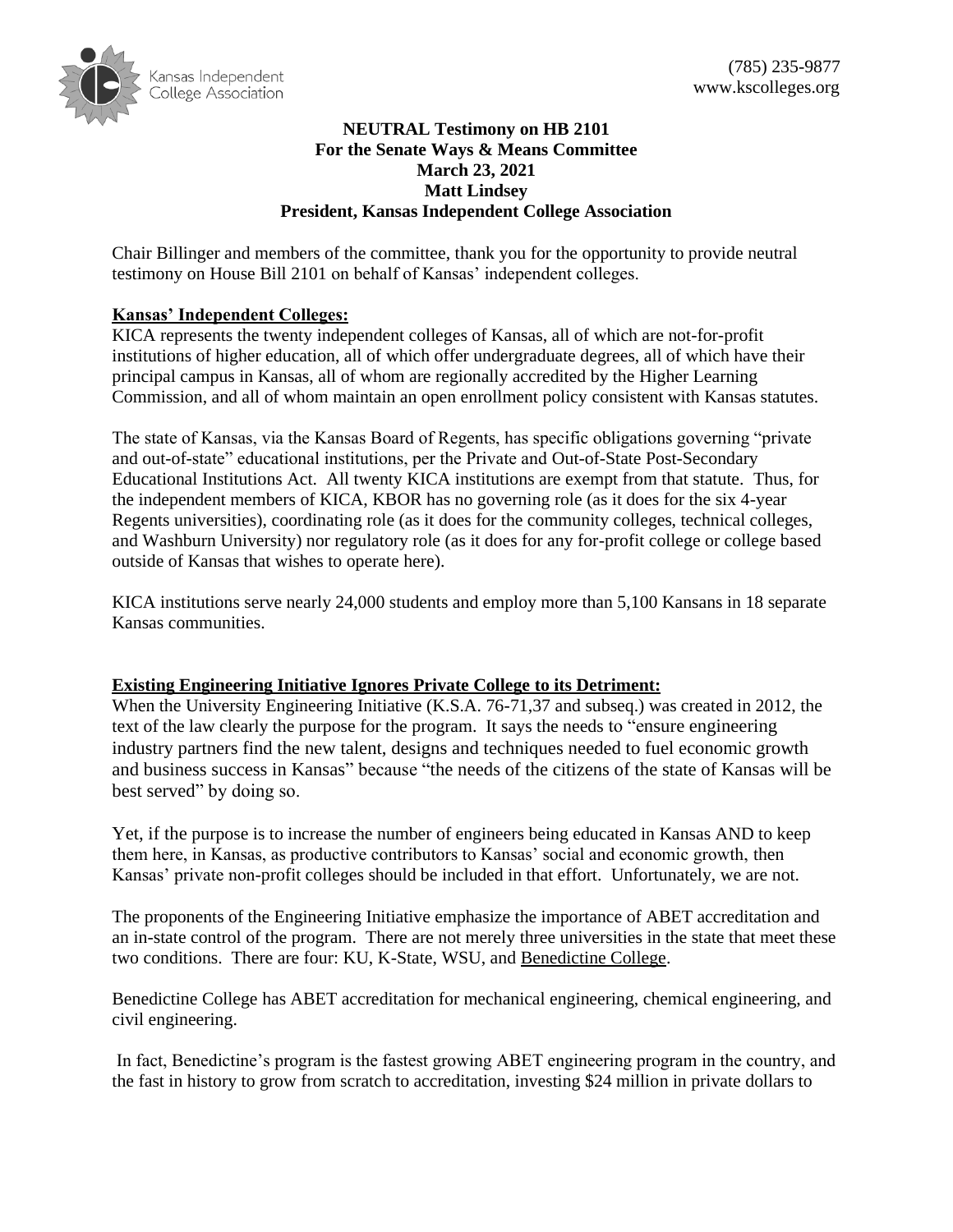

## **NEUTRAL Testimony on HB 2101 For the Senate Ways & Means Committee March 23, 2021 Matt Lindsey President, Kansas Independent College Association**

Chair Billinger and members of the committee, thank you for the opportunity to provide neutral testimony on House Bill 2101 on behalf of Kansas' independent colleges.

# **Kansas' Independent Colleges:**

KICA represents the twenty independent colleges of Kansas, all of which are not-for-profit institutions of higher education, all of which offer undergraduate degrees, all of which have their principal campus in Kansas, all of whom are regionally accredited by the Higher Learning Commission, and all of whom maintain an open enrollment policy consistent with Kansas statutes.

The state of Kansas, via the Kansas Board of Regents, has specific obligations governing "private and out-of-state" educational institutions, per the Private and Out-of-State Post-Secondary Educational Institutions Act. All twenty KICA institutions are exempt from that statute. Thus, for the independent members of KICA, KBOR has no governing role (as it does for the six 4-year Regents universities), coordinating role (as it does for the community colleges, technical colleges, and Washburn University) nor regulatory role (as it does for any for-profit college or college based outside of Kansas that wishes to operate here).

KICA institutions serve nearly 24,000 students and employ more than 5,100 Kansans in 18 separate Kansas communities.

## **Existing Engineering Initiative Ignores Private College to its Detriment:**

When the University Engineering Initiative (K.S.A. 76-71,37 and subseq.) was created in 2012, the text of the law clearly the purpose for the program. It says the needs to "ensure engineering industry partners find the new talent, designs and techniques needed to fuel economic growth and business success in Kansas" because "the needs of the citizens of the state of Kansas will be best served" by doing so.

Yet, if the purpose is to increase the number of engineers being educated in Kansas AND to keep them here, in Kansas, as productive contributors to Kansas' social and economic growth, then Kansas' private non-profit colleges should be included in that effort. Unfortunately, we are not.

The proponents of the Engineering Initiative emphasize the importance of ABET accreditation and an in-state control of the program. There are not merely three universities in the state that meet these two conditions. There are four: KU, K-State, WSU, and Benedictine College.

Benedictine College has ABET accreditation for mechanical engineering, chemical engineering, and civil engineering.

In fact, Benedictine's program is the fastest growing ABET engineering program in the country, and the fast in history to grow from scratch to accreditation, investing \$24 million in private dollars to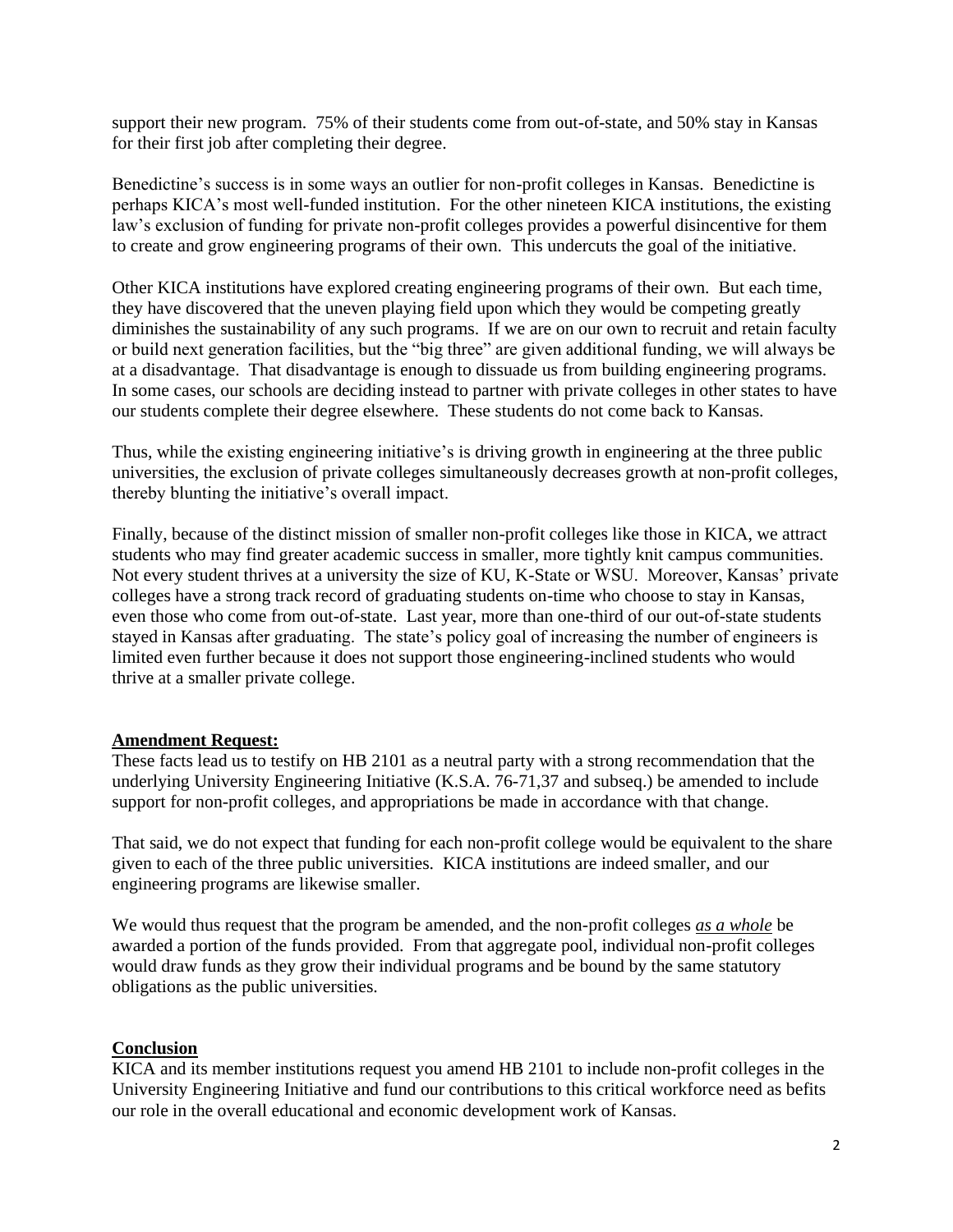support their new program. 75% of their students come from out-of-state, and 50% stay in Kansas for their first job after completing their degree.

Benedictine's success is in some ways an outlier for non-profit colleges in Kansas. Benedictine is perhaps KICA's most well-funded institution. For the other nineteen KICA institutions, the existing law's exclusion of funding for private non-profit colleges provides a powerful disincentive for them to create and grow engineering programs of their own. This undercuts the goal of the initiative.

Other KICA institutions have explored creating engineering programs of their own. But each time, they have discovered that the uneven playing field upon which they would be competing greatly diminishes the sustainability of any such programs. If we are on our own to recruit and retain faculty or build next generation facilities, but the "big three" are given additional funding, we will always be at a disadvantage. That disadvantage is enough to dissuade us from building engineering programs. In some cases, our schools are deciding instead to partner with private colleges in other states to have our students complete their degree elsewhere. These students do not come back to Kansas.

Thus, while the existing engineering initiative's is driving growth in engineering at the three public universities, the exclusion of private colleges simultaneously decreases growth at non-profit colleges, thereby blunting the initiative's overall impact.

Finally, because of the distinct mission of smaller non-profit colleges like those in KICA, we attract students who may find greater academic success in smaller, more tightly knit campus communities. Not every student thrives at a university the size of KU, K-State or WSU. Moreover, Kansas' private colleges have a strong track record of graduating students on-time who choose to stay in Kansas, even those who come from out-of-state. Last year, more than one-third of our out-of-state students stayed in Kansas after graduating. The state's policy goal of increasing the number of engineers is limited even further because it does not support those engineering-inclined students who would thrive at a smaller private college.

### **Amendment Request:**

These facts lead us to testify on HB 2101 as a neutral party with a strong recommendation that the underlying University Engineering Initiative (K.S.A.  $76-71.37$  and subseq.) be amended to include support for non-profit colleges, and appropriations be made in accordance with that change.

That said, we do not expect that funding for each non-profit college would be equivalent to the share given to each of the three public universities. KICA institutions are indeed smaller, and our engineering programs are likewise smaller.

We would thus request that the program be amended, and the non-profit colleges *as a whole* be awarded a portion of the funds provided. From that aggregate pool, individual non-profit colleges would draw funds as they grow their individual programs and be bound by the same statutory obligations as the public universities.

### **Conclusion**

KICA and its member institutions request you amend HB 2101 to include non-profit colleges in the University Engineering Initiative and fund our contributions to this critical workforce need as befits our role in the overall educational and economic development work of Kansas.